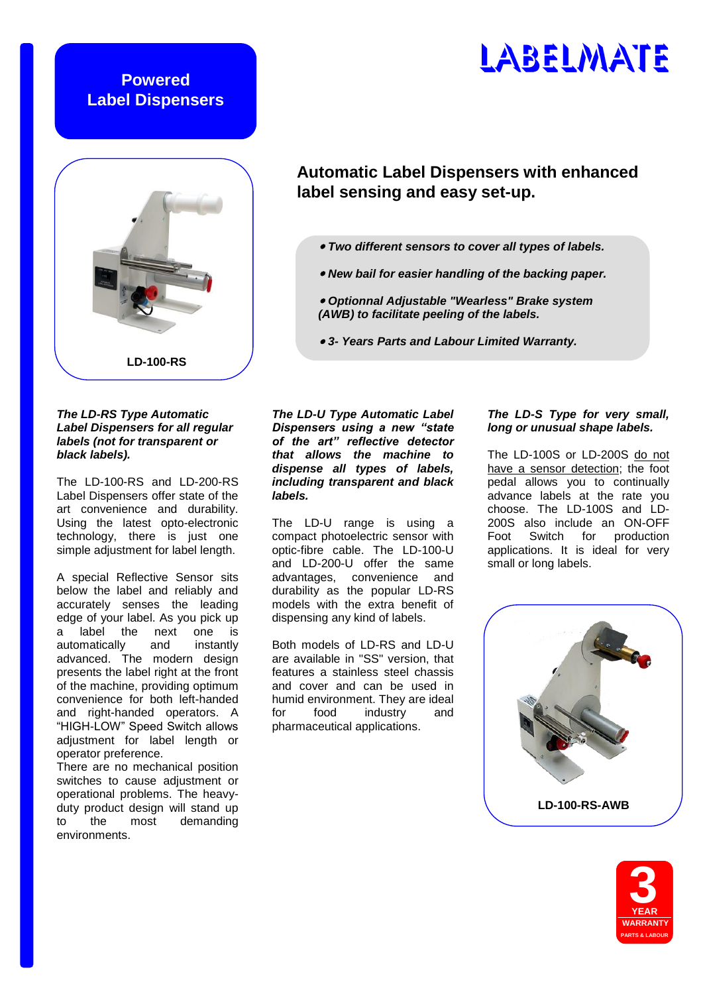# **Powered Label Dispensers**

# **LD-100-RS**

## *The LD-RS Type Automatic Label Dispensers for all regular labels (not for transparent or black labels).*

The LD-100-RS and LD-200-RS Label Dispensers offer state of the art convenience and durability. Using the latest opto-electronic technology, there is just one simple adjustment for label length.

A special Reflective Sensor sits below the label and reliably and accurately senses the leading edge of your label. As you pick up a label the next one is automatically and instantly advanced. The modern design presents the label right at the front of the machine, providing optimum convenience for both left-handed and right-handed operators. A "HIGH-LOW" Speed Switch allows adjustment for label length or operator preference.

There are no mechanical position switches to cause adjustment or operational problems. The heavyduty product design will stand up to the most demanding environments.

*The LD-U Type Automatic Label Dispensers using a new "state of the art" reflective detector that allows the machine to dispense all types of labels, including transparent and black labels.*

The LD-U range is using a compact photoelectric sensor with optic-fibre cable. The LD-100-U and LD-200-U offer the same advantages, convenience and durability as the popular LD-RS models with the extra benefit of dispensing any kind of labels.

Both models of LD-RS and LD-U are available in "SS" version, that features a stainless steel chassis and cover and can be used in humid environment. They are ideal for food industry and pharmaceutical applications.

# *The LD-S Type for very small, long or unusual shape labels.*

The LD-100S or LD-200S do not have a sensor detection; the foot pedal allows you to continually advance labels at the rate you choose. The LD-100S and LD-200S also include an ON-OFF Foot Switch for production applications. It is ideal for very small or long labels.





# LABELMATE

# **Automatic Label Dispensers with enhanced label sensing and easy set-up.**

- *Two different sensors to cover all types of labels.*
- *New bail for easier handling of the backing paper.*
- *Optionnal Adjustable "Wearless" Brake system (AWB) to facilitate peeling of the labels.*
- *3- Years Parts and Labour Limited Warranty.*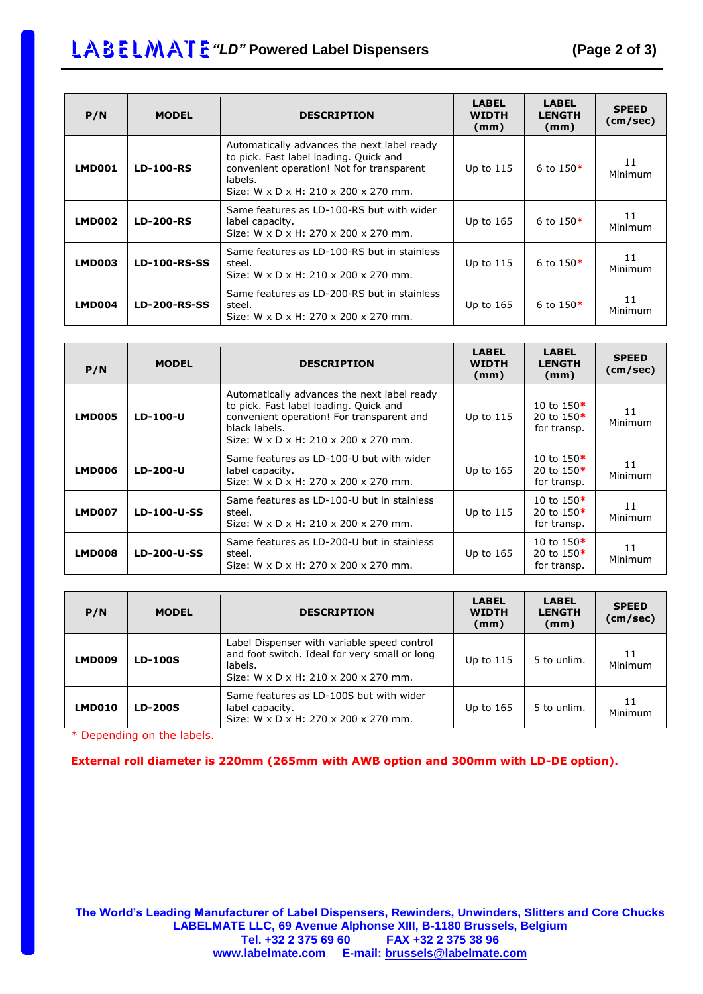# LABELMATE "LD" Powered Label Dispensers (Page 2 of 3)

| P/N           | <b>MODEL</b>        | <b>DESCRIPTION</b>                                                                                                                                                                    | <b>LABEL</b><br><b>WIDTH</b><br>(mm) | <b>LABEL</b><br><b>LENGTH</b><br>(mm) | <b>SPEED</b><br>(cm/sec) |
|---------------|---------------------|---------------------------------------------------------------------------------------------------------------------------------------------------------------------------------------|--------------------------------------|---------------------------------------|--------------------------|
| <b>LMD001</b> | <b>LD-100-RS</b>    | Automatically advances the next label ready<br>to pick. Fast label loading. Quick and<br>convenient operation! Not for transparent<br>labels.<br>Size: W x D x H: 210 x 200 x 270 mm. | Up to 115                            | 6 to $150*$                           | 11<br>Minimum            |
| <b>LMD002</b> | <b>LD-200-RS</b>    | Same features as LD-100-RS but with wider<br>label capacity.<br>Size: W x D x H: 270 x 200 x 270 mm.                                                                                  | Up to 165                            | 6 to $150*$                           | 11<br>Minimum            |
| LMD003        | <b>LD-100-RS-SS</b> | Same features as LD-100-RS but in stainless<br>steel.<br>Size: W x D x H: 210 x 200 x 270 mm.                                                                                         | Up to 115                            | 6 to $150*$                           | 11<br>Minimum            |
| <b>LMD004</b> | <b>LD-200-RS-SS</b> | Same features as LD-200-RS but in stainless<br>steel.<br>Size: W x D x H: 270 x 200 x 270 mm.                                                                                         | Up to 165                            | 6 to $150*$                           | 11<br>Minimum            |

| P/N           | <b>MODEL</b>       | <b>DESCRIPTION</b>                                                                                                                                                                          | <b>LABEL</b><br><b>WIDTH</b><br>(mm) | <b>LABEL</b><br><b>LENGTH</b><br>(mm)       | <b>SPEED</b><br>(cm/sec) |
|---------------|--------------------|---------------------------------------------------------------------------------------------------------------------------------------------------------------------------------------------|--------------------------------------|---------------------------------------------|--------------------------|
| <b>LMD005</b> | LD-100-U           | Automatically advances the next label ready<br>to pick. Fast label loading. Quick and<br>convenient operation! For transparent and<br>black labels.<br>Size: W x D x H: 210 x 200 x 270 mm. | Up to 115                            | 10 to $150*$<br>20 to $150*$<br>for transp. | 11<br>Minimum            |
| LMD006        | LD-200-U           | Same features as LD-100-U but with wider<br>label capacity.<br>Size: W x D x H: 270 x 200 x 270 mm.                                                                                         | Up to $165$                          | 10 to $150*$<br>20 to $150*$<br>for transp. | 11<br>Minimum            |
| <b>LMD007</b> | LD-100-U-SS        | Same features as LD-100-U but in stainless<br>steel.<br>Size: W x D x H: 210 x 200 x 270 mm.                                                                                                | Up to 115                            | 10 to $150*$<br>20 to $150*$<br>for transp. | 11<br>Minimum            |
| <b>LMD008</b> | <b>LD-200-U-SS</b> | Same features as LD-200-U but in stainless<br>steel.<br>Size: W x D x H: 270 x 200 x 270 mm.                                                                                                | Up to $165$                          | 10 to $150*$<br>20 to $150*$<br>for transp. | 11<br>Minimum            |

| P/N    | <b>MODEL</b>   | <b>DESCRIPTION</b>                                                                                                                              | <b>LABEL</b><br><b>WIDTH</b><br>(mm) | <b>LABEL</b><br><b>LENGTH</b><br>(mm) | <b>SPEED</b><br>(cm/sec) |
|--------|----------------|-------------------------------------------------------------------------------------------------------------------------------------------------|--------------------------------------|---------------------------------------|--------------------------|
| LMD009 | <b>LD-100S</b> | Label Dispenser with variable speed control<br>and foot switch. Ideal for very small or long<br>labels.<br>Size: W x D x H: 210 x 200 x 270 mm. | Up to $115$                          | 5 to unlim.                           | 11<br>Minimum            |
| LMD010 | <b>LD-200S</b> | Same features as LD-100S but with wider<br>label capacity.<br>Size: W x D x H: 270 x 200 x 270 mm.                                              | Up to 165                            | 5 to unlim.                           | 11<br>Minimum            |

\* Depending on the labels.

**External roll diameter is 220mm (265mm with AWB option and 300mm with LD-DE option).**

**The World's Leading Manufacturer of Label Dispensers, Rewinders, Unwinders, Slitters and Core Chucks LABELMATE LLC, 69 Avenue Alphonse XIII, B-1180 Brussels, Belgium Tel. +32 2 375 69 60 FAX +32 2 375 38 96 www.labelmate.com E-mail: [brussels@labelmate.com](mailto:brussels@labelmate.com)**